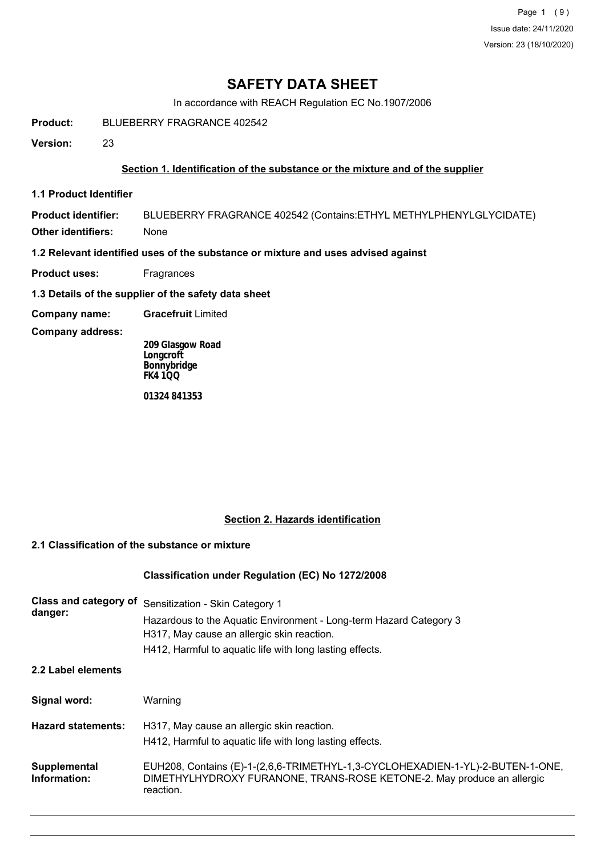Page 1 (9) Issue date: 24/11/2020 Version: 23 (18/10/2020)

## **SAFETY DATA SHEET**

In accordance with REACH Regulation EC No.1907/2006

**Product:** BLUEBERRY FRAGRANCE 402542

**Version:** 23

## **Section 1. Identification of the substance or the mixture and of the supplier**

**1.1 Product Identifier**

**Product identifier:** BLUEBERRY FRAGRANCE 402542 (Contains:ETHYL METHYLPHENYLGLYCIDATE) **Other identifiers:** None

**1.2 Relevant identified uses of the substance or mixture and uses advised against**

- **Product uses:** Fragrances
- **1.3 Details of the supplier of the safety data sheet**
- **Company name: Gracefruit** Limited
- **Company address:**

**209 Glasgow Road Longcroft Bonnybridge FK4 1QQ**

**01324 841353**

## **Section 2. Hazards identification**

## **2.1 Classification of the substance or mixture**

## **Classification under Regulation (EC) No 1272/2008**

| Class and category of<br>danger: | Sensitization - Skin Category 1<br>Hazardous to the Aquatic Environment - Long-term Hazard Category 3<br>H317, May cause an allergic skin reaction.<br>H412, Harmful to aquatic life with long lasting effects. |  |
|----------------------------------|-----------------------------------------------------------------------------------------------------------------------------------------------------------------------------------------------------------------|--|
| 2.2 Label elements               |                                                                                                                                                                                                                 |  |
| Signal word:                     | Warning                                                                                                                                                                                                         |  |
| <b>Hazard statements:</b>        | H317, May cause an allergic skin reaction.<br>H412, Harmful to aquatic life with long lasting effects.                                                                                                          |  |
| Supplemental<br>Information:     | EUH208, Contains (E)-1-(2,6,6-TRIMETHYL-1,3-CYCLOHEXADIEN-1-YL)-2-BUTEN-1-ONE,<br>DIMETHYLHYDROXY FURANONE, TRANS-ROSE KETONE-2. May produce an allergic<br>reaction.                                           |  |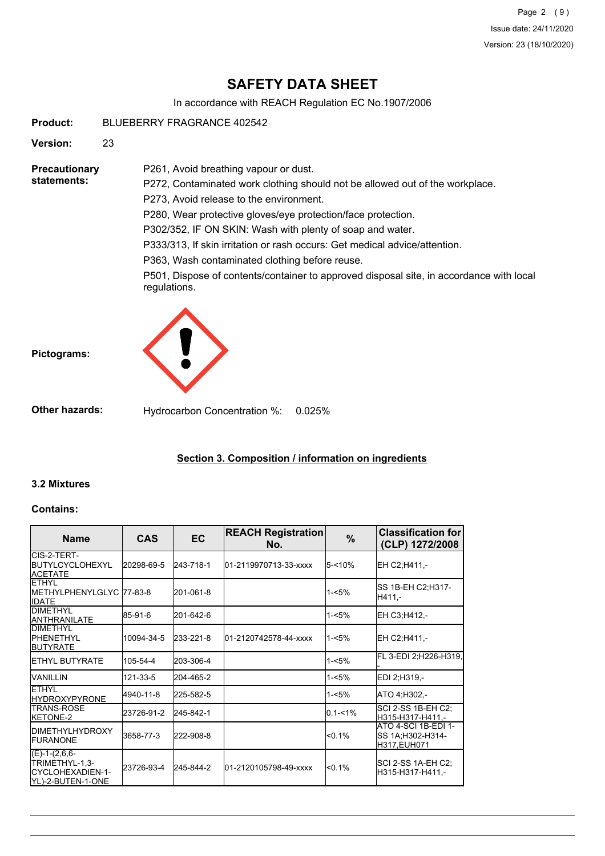Page 2 (9) Issue date: 24/11/2020 Version: 23 (18/10/2020)

## **SAFETY DATA SHEET**

In accordance with REACH Regulation EC No.1907/2006

**Product:** BLUEBERRY FRAGRANCE 402542

**Version:** 23

**Precautionary statements:**

P272, Contaminated work clothing should not be allowed out of the workplace. P273, Avoid release to the environment.

P280, Wear protective gloves/eye protection/face protection.

P302/352, IF ON SKIN: Wash with plenty of soap and water.

P333/313, If skin irritation or rash occurs: Get medical advice/attention.

P363, Wash contaminated clothing before reuse.

P261, Avoid breathing vapour or dust.

P501, Dispose of contents/container to approved disposal site, in accordance with local regulations.





**Other hazards:** Hydrocarbon Concentration %: 0.025%

## **Section 3. Composition / information on ingredients**

## **3.2 Mixtures**

## **Contains:**

| <b>Name</b>                                                                  | <b>CAS</b> | <b>EC</b> | <b>REACH Registration</b><br>No. | $\%$       | <b>Classification for</b><br>(CLP) 1272/2008                   |
|------------------------------------------------------------------------------|------------|-----------|----------------------------------|------------|----------------------------------------------------------------|
| ICIS-2-TERT-<br><b>IBUTYLCYCLOHEXYL</b><br><b>ACETATE</b>                    | 20298-69-5 | 243-718-1 | l01-2119970713-33-xxxx           | 5-<10%     | EH C2:H411.-                                                   |
| <b>FTHYL</b><br>IMETHYLPHENYLGLYC 77-83-8<br><b>IIDATE</b>                   |            | 201-061-8 |                                  | $1 - 5%$   | SS 1B-EH C2;H317-<br>H411.-                                    |
| <b>IDIMETHYL</b><br>ANTHRANILATE                                             | 85-91-6    | 201-642-6 |                                  | $1 - 5%$   | EH C3;H412,-                                                   |
| <b>DIMETHYL</b><br><b>IPHENETHYL</b><br><b>BUTYRATE</b>                      | 10094-34-5 | 233-221-8 | 01-2120742578-44-xxxx            | $1 - 5%$   | EH C2;H411,-                                                   |
| <b>IETHYL BUTYRATE</b>                                                       | 105-54-4   | 203-306-4 |                                  | $1 - 5%$   | FL 3-EDI 2;H226-H319,                                          |
| <b>VANILLIN</b>                                                              | 121-33-5   | 204-465-2 |                                  | $1 - 5%$   | EDI 2:H319.-                                                   |
| <b>ETHYL</b><br><b>HYDROXYPYRONE</b>                                         | 4940-11-8  | 225-582-5 |                                  | $1 - 5%$   | ATO 4:H302.-                                                   |
| <b>ITRANS-ROSE</b><br>KETONE-2                                               | 23726-91-2 | 245-842-1 |                                  | $0.1 - 1%$ | SCI 2-SS 1B-EH C2;<br>H315-H317-H411,-                         |
| <b>IDIMETHYLHYDROXY</b><br><b>IFURANONE</b>                                  | 3658-77-3  | 222-908-8 |                                  | < 0.1%     | <b>ATO 4-SCI 1B-EDI 1-</b><br>SS 1A;H302-H314-<br>H317, EUH071 |
| $(E)-1-(2,6,6-$<br>TRIMETHYL-1,3-<br>ICYCLOHEXADIEN-1-<br>IYL)-2-BUTEN-1-ONE | 23726-93-4 | 245-844-2 | 01-2120105798-49-xxxx            | < 0.1%     | SCI 2-SS 1A-EH C2;<br>H315-H317-H411.-                         |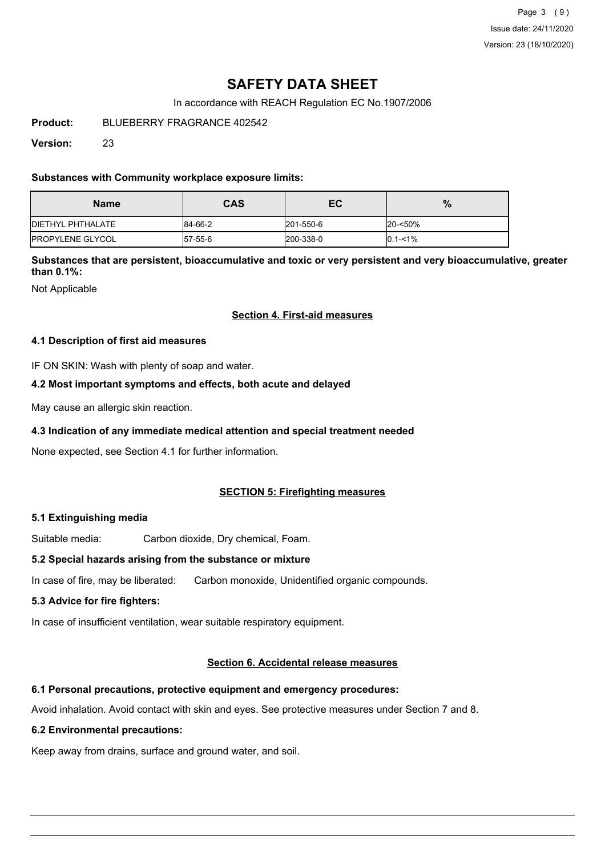Page 3 (9) Issue date: 24/11/2020 Version: 23 (18/10/2020)

## **SAFETY DATA SHEET**

In accordance with REACH Regulation EC No.1907/2006

**Product:** BLUEBERRY FRAGRANCE 402542

**Version:** 23

## **Substances with Community workplace exposure limits:**

| <b>Name</b>               | <b>CAS</b> | ЕC        | %             |
|---------------------------|------------|-----------|---------------|
| <b>IDIETHYL PHTHALATE</b> | 84-66-2    | 201-550-6 | 20-<50%       |
| <b>IPROPYLENE GLYCOL</b>  | 57-55-6    | 200-338-0 | $ 0.1 - 1\% $ |

**Substances that are persistent, bioaccumulative and toxic or very persistent and very bioaccumulative, greater than 0.1%:**

Not Applicable

## **Section 4. First-aid measures**

## **4.1 Description of first aid measures**

IF ON SKIN: Wash with plenty of soap and water.

## **4.2 Most important symptoms and effects, both acute and delayed**

May cause an allergic skin reaction.

## **4.3 Indication of any immediate medical attention and special treatment needed**

None expected, see Section 4.1 for further information.

## **SECTION 5: Firefighting measures**

## **5.1 Extinguishing media**

Suitable media: Carbon dioxide, Dry chemical, Foam.

## **5.2 Special hazards arising from the substance or mixture**

In case of fire, may be liberated: Carbon monoxide, Unidentified organic compounds.

## **5.3 Advice for fire fighters:**

In case of insufficient ventilation, wear suitable respiratory equipment.

## **Section 6. Accidental release measures**

## **6.1 Personal precautions, protective equipment and emergency procedures:**

Avoid inhalation. Avoid contact with skin and eyes. See protective measures under Section 7 and 8.

## **6.2 Environmental precautions:**

Keep away from drains, surface and ground water, and soil.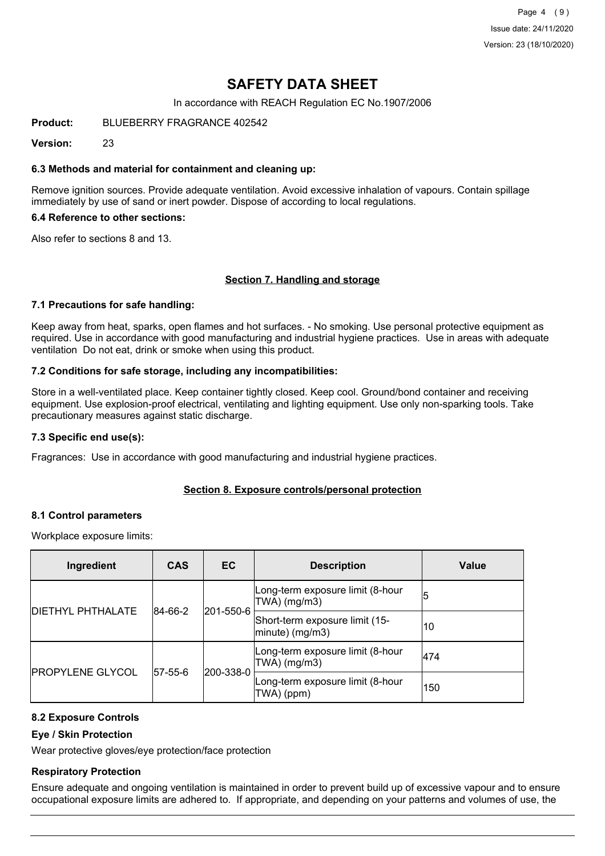Page 4 (9) Issue date: 24/11/2020 Version: 23 (18/10/2020)

## **SAFETY DATA SHEET**

In accordance with REACH Regulation EC No.1907/2006

**Product:** BLUEBERRY FRAGRANCE 402542

**Version:** 23

### **6.3 Methods and material for containment and cleaning up:**

Remove ignition sources. Provide adequate ventilation. Avoid excessive inhalation of vapours. Contain spillage immediately by use of sand or inert powder. Dispose of according to local regulations.

#### **6.4 Reference to other sections:**

Also refer to sections 8 and 13.

#### **Section 7. Handling and storage**

#### **7.1 Precautions for safe handling:**

Keep away from heat, sparks, open flames and hot surfaces. - No smoking. Use personal protective equipment as required. Use in accordance with good manufacturing and industrial hygiene practices. Use in areas with adequate ventilation Do not eat, drink or smoke when using this product.

#### **7.2 Conditions for safe storage, including any incompatibilities:**

Store in a well-ventilated place. Keep container tightly closed. Keep cool. Ground/bond container and receiving equipment. Use explosion-proof electrical, ventilating and lighting equipment. Use only non-sparking tools. Take precautionary measures against static discharge.

#### **7.3 Specific end use(s):**

Fragrances: Use in accordance with good manufacturing and industrial hygiene practices.

## **Section 8. Exposure controls/personal protection**

#### **8.1 Control parameters**

Workplace exposure limits:

| Ingredient               | <b>CAS</b> | <b>EC</b>                                          | <b>Description</b>                                       | Value |
|--------------------------|------------|----------------------------------------------------|----------------------------------------------------------|-------|
| <b>DIETHYL PHTHALATE</b> | 84-66-2    | 201-550-6                                          | Long-term exposure limit (8-hour<br>TWA) (mg/m3)         | 15    |
|                          |            |                                                    | Short-term exposure limit (15-<br>$ $ minute $ $ (mg/m3) | 10    |
| <b>IPROPYLENE GLYCOL</b> |            | Long-term exposure limit (8-hour<br>$TWA)$ (mg/m3) | 1474                                                     |       |
|                          | 57-55-6    | 200-338-0                                          | Long-term exposure limit (8-hour<br>TWA) (ppm)           | 150   |

## **8.2 Exposure Controls**

## **Eye / Skin Protection**

Wear protective gloves/eye protection/face protection

## **Respiratory Protection**

Ensure adequate and ongoing ventilation is maintained in order to prevent build up of excessive vapour and to ensure occupational exposure limits are adhered to. If appropriate, and depending on your patterns and volumes of use, the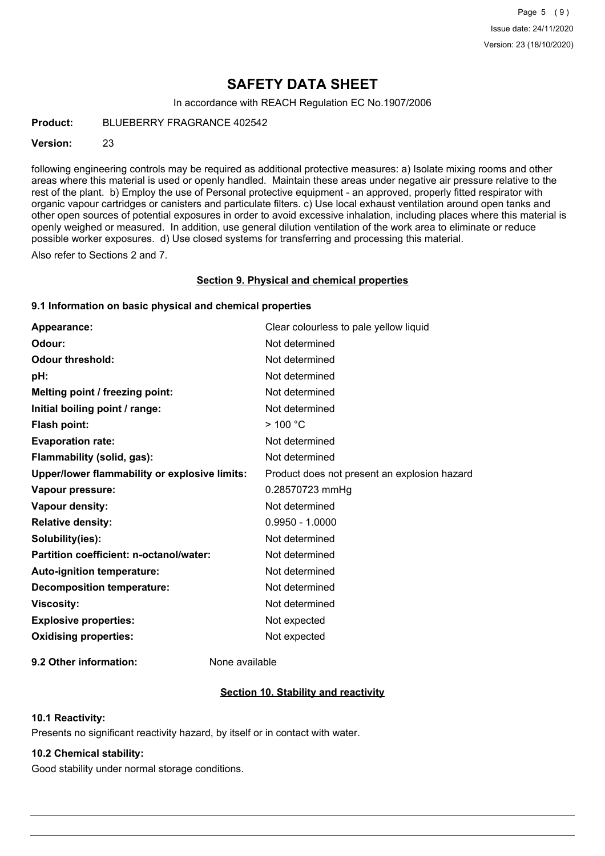## **SAFETY DATA SHEET**

In accordance with REACH Regulation EC No.1907/2006

**Product:** BLUEBERRY FRAGRANCE 402542

### **Version:** 23

following engineering controls may be required as additional protective measures: a) Isolate mixing rooms and other areas where this material is used or openly handled. Maintain these areas under negative air pressure relative to the rest of the plant. b) Employ the use of Personal protective equipment - an approved, properly fitted respirator with organic vapour cartridges or canisters and particulate filters. c) Use local exhaust ventilation around open tanks and other open sources of potential exposures in order to avoid excessive inhalation, including places where this material is openly weighed or measured. In addition, use general dilution ventilation of the work area to eliminate or reduce possible worker exposures. d) Use closed systems for transferring and processing this material.

Also refer to Sections 2 and 7.

#### **Section 9. Physical and chemical properties**

## **9.1 Information on basic physical and chemical properties**

| Appearance:                                   | Clear colourless to pale yellow liquid       |
|-----------------------------------------------|----------------------------------------------|
| Odour:                                        | Not determined                               |
| <b>Odour threshold:</b>                       | Not determined                               |
| pH:                                           | Not determined                               |
| Melting point / freezing point:               | Not determined                               |
| Initial boiling point / range:                | Not determined                               |
| Flash point:                                  | $>$ 100 °C                                   |
| <b>Evaporation rate:</b>                      | Not determined                               |
| Flammability (solid, gas):                    | Not determined                               |
| Upper/lower flammability or explosive limits: | Product does not present an explosion hazard |
| Vapour pressure:                              | 0.28570723 mmHg                              |
| Vapour density:                               | Not determined                               |
| <b>Relative density:</b>                      | $0.9950 - 1.0000$                            |
| Solubility(ies):                              | Not determined                               |
| Partition coefficient: n-octanol/water:       | Not determined                               |
| Auto-ignition temperature:                    | Not determined                               |
| <b>Decomposition temperature:</b>             | Not determined                               |
| <b>Viscosity:</b>                             | Not determined                               |
| <b>Explosive properties:</b>                  | Not expected                                 |
| <b>Oxidising properties:</b>                  | Not expected                                 |
|                                               |                                              |

**9.2 Other information:** None available

## **Section 10. Stability and reactivity**

### **10.1 Reactivity:**

Presents no significant reactivity hazard, by itself or in contact with water.

## **10.2 Chemical stability:**

Good stability under normal storage conditions.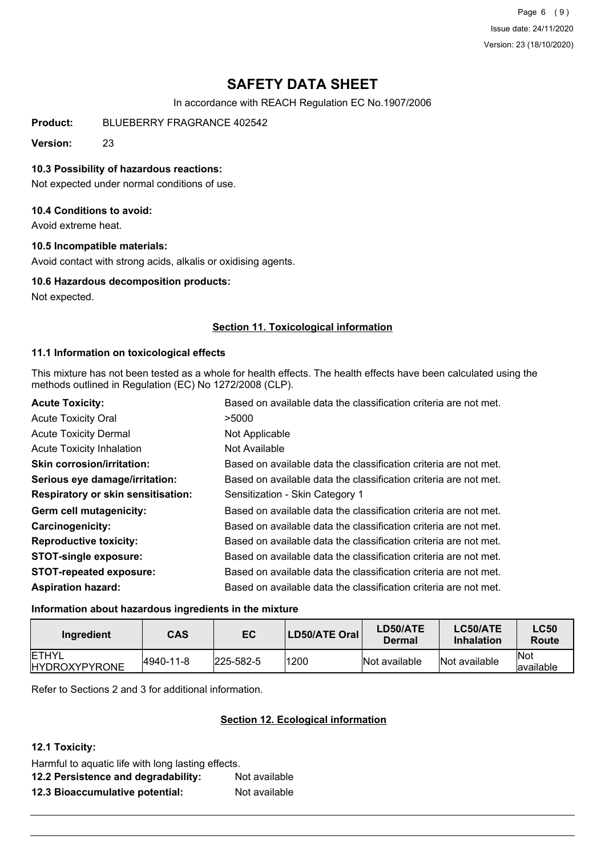Page 6 (9) Issue date: 24/11/2020 Version: 23 (18/10/2020)

## **SAFETY DATA SHEET**

In accordance with REACH Regulation EC No.1907/2006

**Product:** BLUEBERRY FRAGRANCE 402542

**Version:** 23

### **10.3 Possibility of hazardous reactions:**

Not expected under normal conditions of use.

## **10.4 Conditions to avoid:**

Avoid extreme heat.

#### **10.5 Incompatible materials:**

Avoid contact with strong acids, alkalis or oxidising agents.

#### **10.6 Hazardous decomposition products:**

Not expected.

## **Section 11. Toxicological information**

## **11.1 Information on toxicological effects**

This mixture has not been tested as a whole for health effects. The health effects have been calculated using the methods outlined in Regulation (EC) No 1272/2008 (CLP).

| Based on available data the classification criteria are not met. |
|------------------------------------------------------------------|
| >5000                                                            |
| Not Applicable                                                   |
| Not Available                                                    |
| Based on available data the classification criteria are not met. |
| Based on available data the classification criteria are not met. |
| Sensitization - Skin Category 1                                  |
| Based on available data the classification criteria are not met. |
| Based on available data the classification criteria are not met. |
| Based on available data the classification criteria are not met. |
| Based on available data the classification criteria are not met. |
| Based on available data the classification criteria are not met. |
| Based on available data the classification criteria are not met. |
|                                                                  |

## **Information about hazardous ingredients in the mixture**

| Ingredient                            | <b>CAS</b> | EC                | LD50/ATE Oral | LD50/ATE<br>Dermal | LC50/ATE<br><b>Inhalation</b> | <b>LC50</b><br>Route     |
|---------------------------------------|------------|-------------------|---------------|--------------------|-------------------------------|--------------------------|
| <b>IETHYL</b><br><b>HYDROXYPYRONE</b> | 4940-11-8  | $ 225 - 582 - 5 $ | 1200          | Not available      | Not available                 | <b>Not</b><br>lavailable |

Refer to Sections 2 and 3 for additional information.

## **Section 12. Ecological information**

**12.1 Toxicity:**

| Harmful to aquatic life with long lasting effects. |               |  |
|----------------------------------------------------|---------------|--|
| 12.2 Persistence and degradability:                | Not available |  |
| 12.3 Bioaccumulative potential:                    | Not available |  |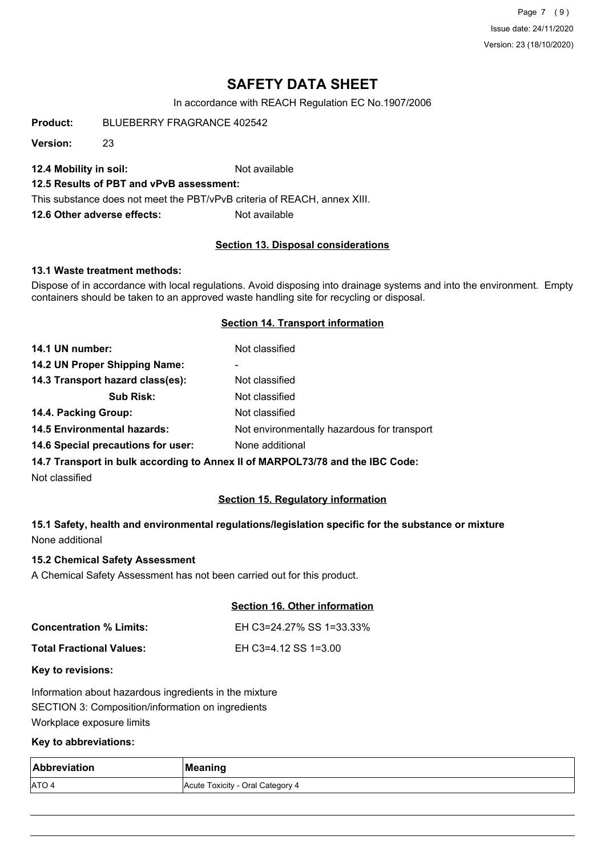Page 7 (9) Issue date: 24/11/2020 Version: 23 (18/10/2020)

## **SAFETY DATA SHEET**

In accordance with REACH Regulation EC No.1907/2006

**Product:** BLUEBERRY FRAGRANCE 402542

**Version:** 23

**12.4 Mobility in soil:** Not available

## **12.5 Results of PBT and vPvB assessment:**

This substance does not meet the PBT/vPvB criteria of REACH, annex XIII.

**12.6 Other adverse effects:** Not available

#### **Section 13. Disposal considerations**

#### **13.1 Waste treatment methods:**

Dispose of in accordance with local regulations. Avoid disposing into drainage systems and into the environment. Empty containers should be taken to an approved waste handling site for recycling or disposal.

#### **Section 14. Transport information**

| 14.1 UN number:                    | Not classified                                                                |
|------------------------------------|-------------------------------------------------------------------------------|
| 14.2 UN Proper Shipping Name:      |                                                                               |
| 14.3 Transport hazard class(es):   | Not classified                                                                |
| <b>Sub Risk:</b>                   | Not classified                                                                |
| 14.4. Packing Group:               | Not classified                                                                |
| <b>14.5 Environmental hazards:</b> | Not environmentally hazardous for transport                                   |
| 14.6 Special precautions for user: | None additional                                                               |
|                                    | 14.7 Transport in bulk according to Annex II of MARPOL73/78 and the IBC Code: |

Not classified

## **Section 15. Regulatory information**

**15.1 Safety, health and environmental regulations/legislation specific for the substance or mixture** None additional

#### **15.2 Chemical Safety Assessment**

A Chemical Safety Assessment has not been carried out for this product.

#### **Section 16. Other information**

| <b>Concentration % Limits:</b> | EH C3=24.27% SS 1=33.33% |
|--------------------------------|--------------------------|
| Total Fractional Values:       | EH C3=4.12 SS 1=3.00     |

#### **Key to revisions:**

Information about hazardous ingredients in the mixture SECTION 3: Composition/information on ingredients Workplace exposure limits

#### **Key to abbreviations:**

| Abbreviation | Meaning                          |
|--------------|----------------------------------|
| <b>ATO4</b>  | Acute Toxicity - Oral Category 4 |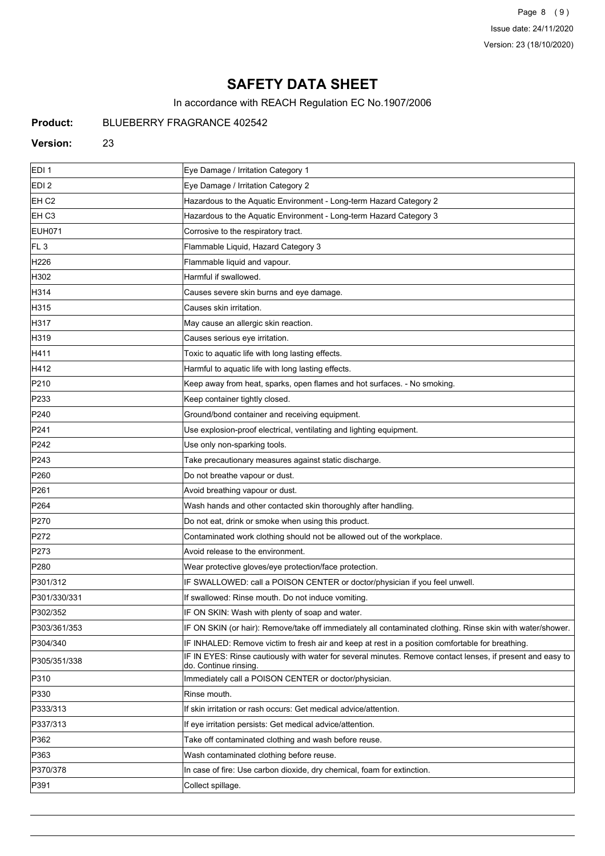Page 8 (9) Issue date: 24/11/2020 Version: 23 (18/10/2020)

# **SAFETY DATA SHEET**

In accordance with REACH Regulation EC No.1907/2006

## **Product:** BLUEBERRY FRAGRANCE 402542

#### **Version:** 23

| EDI <sub>1</sub> | Eye Damage / Irritation Category 1                                                                                                  |
|------------------|-------------------------------------------------------------------------------------------------------------------------------------|
| EDI <sub>2</sub> | Eye Damage / Irritation Category 2                                                                                                  |
| EH <sub>C2</sub> | Hazardous to the Aquatic Environment - Long-term Hazard Category 2                                                                  |
| EH <sub>C3</sub> | Hazardous to the Aquatic Environment - Long-term Hazard Category 3                                                                  |
| EUH071           | Corrosive to the respiratory tract.                                                                                                 |
| FL <sub>3</sub>  | Flammable Liquid, Hazard Category 3                                                                                                 |
| H <sub>226</sub> | Flammable liquid and vapour.                                                                                                        |
| H302             | Harmful if swallowed.                                                                                                               |
| H314             | Causes severe skin burns and eye damage.                                                                                            |
| H315             | Causes skin irritation.                                                                                                             |
| H317             | May cause an allergic skin reaction.                                                                                                |
| H319             | Causes serious eye irritation.                                                                                                      |
| H411             | Toxic to aquatic life with long lasting effects.                                                                                    |
| H412             | Harmful to aquatic life with long lasting effects.                                                                                  |
| P210             | Keep away from heat, sparks, open flames and hot surfaces. - No smoking.                                                            |
| P233             | Keep container tightly closed.                                                                                                      |
| P240             | Ground/bond container and receiving equipment.                                                                                      |
| P241             | Use explosion-proof electrical, ventilating and lighting equipment.                                                                 |
| P242             | Use only non-sparking tools.                                                                                                        |
| P243             | Take precautionary measures against static discharge.                                                                               |
| P <sub>260</sub> | Do not breathe vapour or dust.                                                                                                      |
| P261             | Avoid breathing vapour or dust.                                                                                                     |
| P <sub>264</sub> | Wash hands and other contacted skin thoroughly after handling.                                                                      |
| P270             | Do not eat, drink or smoke when using this product.                                                                                 |
| P272             | Contaminated work clothing should not be allowed out of the workplace.                                                              |
| P273             | Avoid release to the environment.                                                                                                   |
| P280             | Wear protective gloves/eye protection/face protection.                                                                              |
| P301/312         | IF SWALLOWED: call a POISON CENTER or doctor/physician if you feel unwell.                                                          |
| P301/330/331     | If swallowed: Rinse mouth. Do not induce vomiting.                                                                                  |
| P302/352         | IF ON SKIN: Wash with plenty of soap and water.                                                                                     |
| P303/361/353     | IF ON SKIN (or hair): Remove/take off immediately all contaminated clothing. Rinse skin with water/shower.                          |
| P304/340         | IF INHALED: Remove victim to fresh air and keep at rest in a position comfortable for breathing.                                    |
| P305/351/338     | IF IN EYES: Rinse cautiously with water for several minutes. Remove contact lenses, if present and easy to<br>do. Continue rinsing. |
| P310             | Immediately call a POISON CENTER or doctor/physician.                                                                               |
| P330             | Rinse mouth.                                                                                                                        |
| P333/313         | If skin irritation or rash occurs: Get medical advice/attention.                                                                    |
| P337/313         | If eye irritation persists: Get medical advice/attention.                                                                           |
| P362             | Take off contaminated clothing and wash before reuse.                                                                               |
| P363             | Wash contaminated clothing before reuse.                                                                                            |
| P370/378         | In case of fire: Use carbon dioxide, dry chemical, foam for extinction.                                                             |
| P391             | Collect spillage.                                                                                                                   |